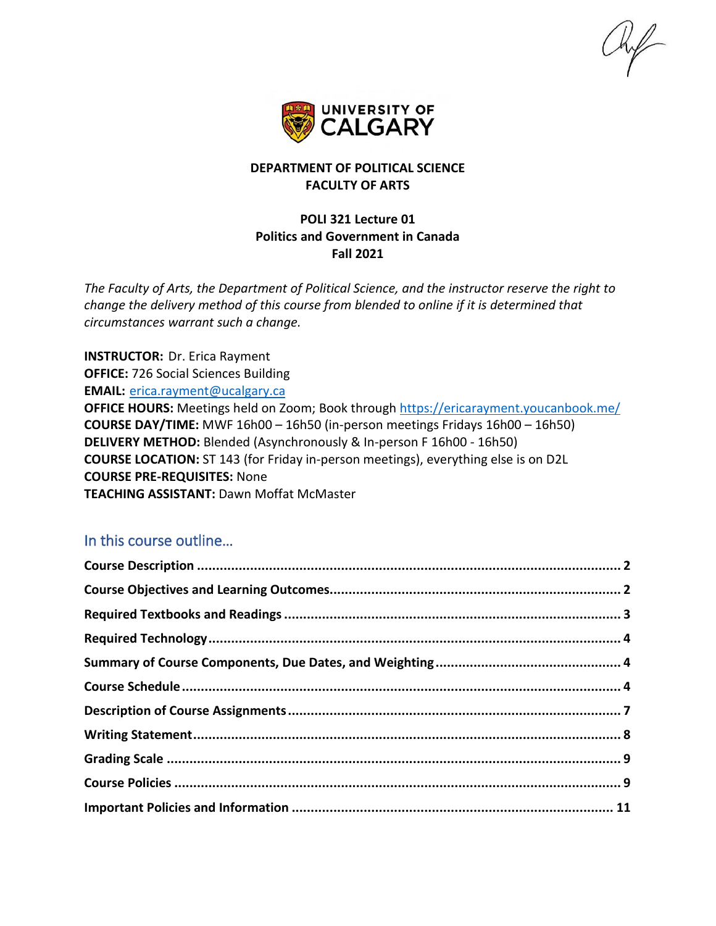

# **DEPARTMENT OF POLITICAL SCIENCE FACULTY OF ARTS**

## **POLI 321 Lecture 01 Politics and Government in Canada Fall 2021**

*The Faculty of Arts, the Department of Political Science, and the instructor reserve the right to change the delivery method of this course from blended to online if it is determined that circumstances warrant such a change.*

**INSTRUCTOR:** Dr. Erica Rayment **OFFICE:** 726 Social Sciences Building **EMAIL:** [erica.rayment@ucalgary.ca](mailto:erica.rayment@ucalgary.ca) **OFFICE HOURS:** Meetings held on Zoom; Book through<https://ericarayment.youcanbook.me/> **COURSE DAY/TIME:** MWF 16h00 – 16h50 (in-person meetings Fridays 16h00 – 16h50) **DELIVERY METHOD:** Blended (Asynchronously & In-person F 16h00 - 16h50) **COURSE LOCATION:** ST 143 (for Friday in-person meetings), everything else is on D2L **COURSE PRE-REQUISITES:** None **TEACHING ASSISTANT:** Dawn Moffat McMaster

# In this course outline…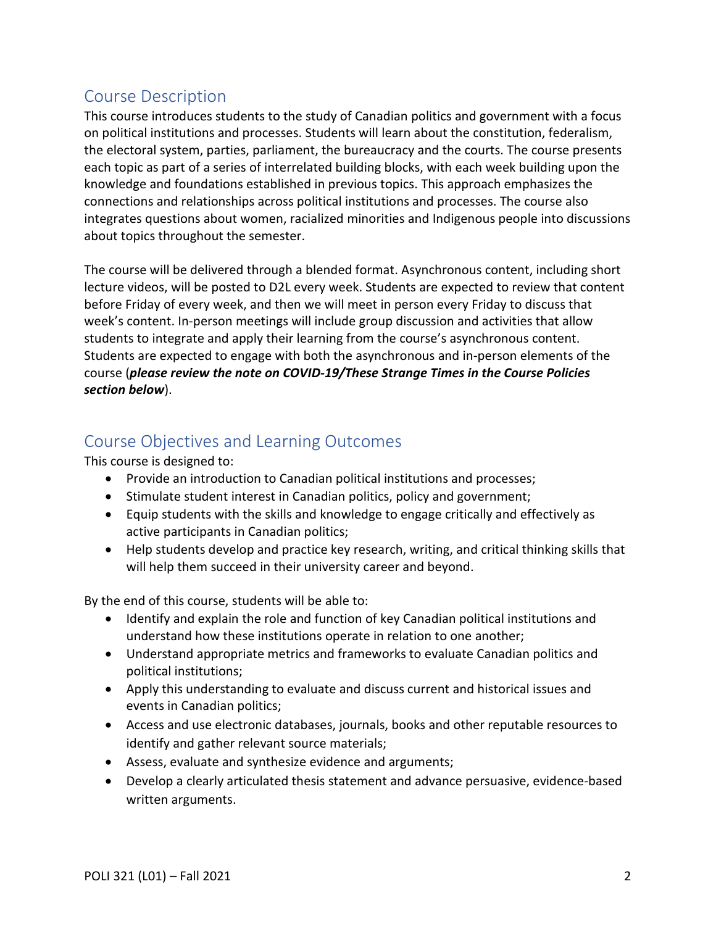# <span id="page-1-0"></span>Course Description

This course introduces students to the study of Canadian politics and government with a focus on political institutions and processes. Students will learn about the constitution, federalism, the electoral system, parties, parliament, the bureaucracy and the courts. The course presents each topic as part of a series of interrelated building blocks, with each week building upon the knowledge and foundations established in previous topics. This approach emphasizes the connections and relationships across political institutions and processes. The course also integrates questions about women, racialized minorities and Indigenous people into discussions about topics throughout the semester.

The course will be delivered through a blended format. Asynchronous content, including short lecture videos, will be posted to D2L every week. Students are expected to review that content before Friday of every week, and then we will meet in person every Friday to discuss that week's content. In-person meetings will include group discussion and activities that allow students to integrate and apply their learning from the course's asynchronous content. Students are expected to engage with both the asynchronous and in-person elements of the course (*please review the note on COVID-19/These Strange Times in the Course Policies section below*).

# <span id="page-1-1"></span>Course Objectives and Learning Outcomes

This course is designed to:

- Provide an introduction to Canadian political institutions and processes;
- Stimulate student interest in Canadian politics, policy and government;
- Equip students with the skills and knowledge to engage critically and effectively as active participants in Canadian politics;
- Help students develop and practice key research, writing, and critical thinking skills that will help them succeed in their university career and beyond.

By the end of this course, students will be able to:

- Identify and explain the role and function of key Canadian political institutions and understand how these institutions operate in relation to one another;
- Understand appropriate metrics and frameworks to evaluate Canadian politics and political institutions;
- Apply this understanding to evaluate and discuss current and historical issues and events in Canadian politics;
- Access and use electronic databases, journals, books and other reputable resources to identify and gather relevant source materials;
- Assess, evaluate and synthesize evidence and arguments;
- Develop a clearly articulated thesis statement and advance persuasive, evidence-based written arguments.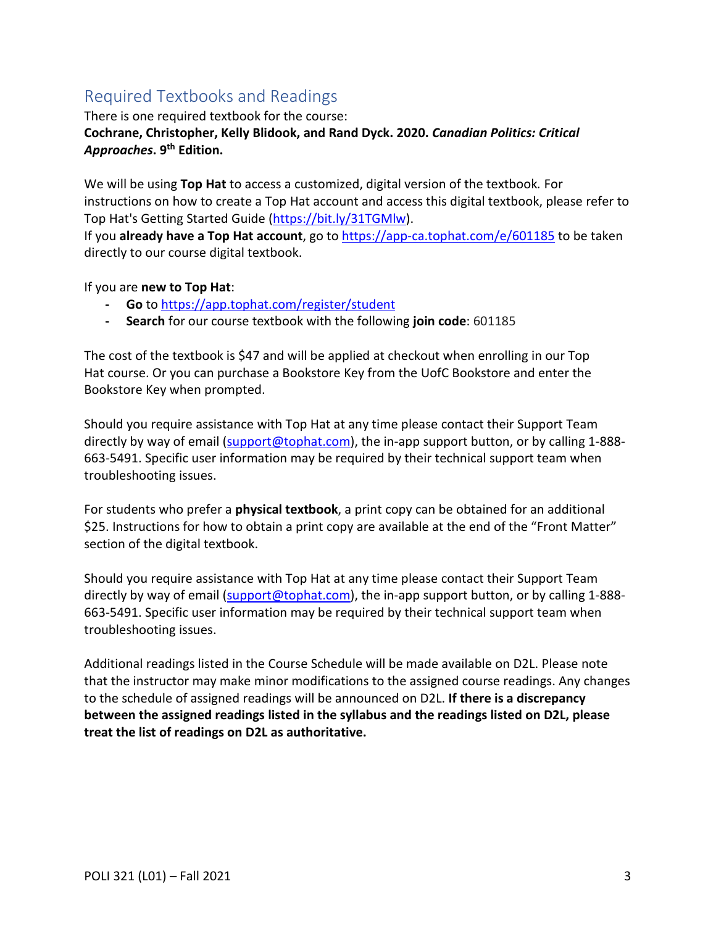# <span id="page-2-0"></span>Required Textbooks and Readings

There is one required textbook for the course:

# **Cochrane, Christopher, Kelly Blidook, and Rand Dyck. 2020.** *Canadian Politics: Critical Approaches***. 9th Edition.**

We will be using **Top Hat** to access a customized, digital version of the textbook*.* For instructions on how to create a Top Hat account and access this digital textbook, please refer to Top Hat's Getting Started Guide [\(https://bit.ly/31TGMlw\)](https://bit.ly/31TGMlw).

If you **already have a Top Hat account**, go to <https://app-ca.tophat.com/e/601185> to be taken directly to our course digital textbook.

If you are **new to Top Hat**:

- **- Go** to <https://app.tophat.com/register/student>
- **- Search** for our course textbook with the following **join code**: 601185

The cost of the textbook is \$47 and will be applied at checkout when enrolling in our Top Hat course. Or you can purchase a Bookstore Key from the UofC Bookstore and enter the Bookstore Key when prompted.

Should you require assistance with Top Hat at any time please contact their Support Team directly by way of email [\(support@tophat.com\)](mailto:support@tophat.com), the in-app support button, or by calling 1-888-663-5491. Specific user information may be required by their technical support team when troubleshooting issues.

For students who prefer a **physical textbook**, a print copy can be obtained for an additional \$25. Instructions for how to obtain a print copy are available at the end of the "Front Matter" section of the digital textbook.

Should you require assistance with Top Hat at any time please contact their Support Team directly by way of email [\(support@tophat.com\)](mailto:support@tophat.com), the in-app support button, or by calling 1-888-663-5491. Specific user information may be required by their technical support team when troubleshooting issues.

Additional readings listed in the Course Schedule will be made available on D2L. Please note that the instructor may make minor modifications to the assigned course readings. Any changes to the schedule of assigned readings will be announced on D2L. **If there is a discrepancy between the assigned readings listed in the syllabus and the readings listed on D2L, please treat the list of readings on D2L as authoritative.**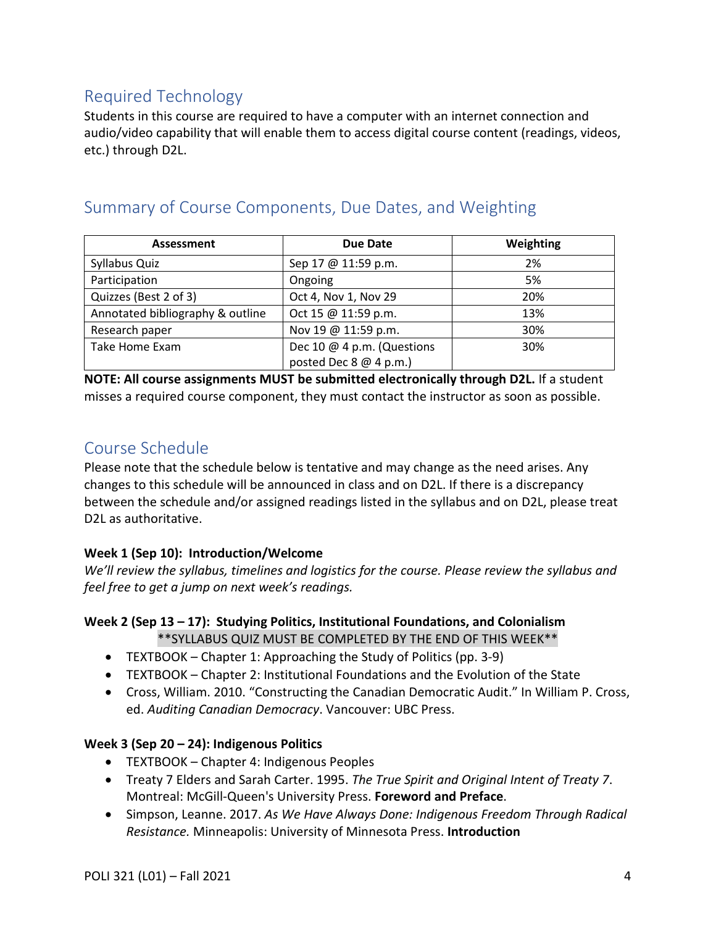# <span id="page-3-0"></span>Required Technology

Students in this course are required to have a computer with an internet connection and audio/video capability that will enable them to access digital course content (readings, videos, etc.) through D2L.

# <span id="page-3-1"></span>Summary of Course Components, Due Dates, and Weighting

| Assessment                       | Due Date                   | Weighting |
|----------------------------------|----------------------------|-----------|
| Syllabus Quiz                    | Sep 17 @ 11:59 p.m.        | 2%        |
| Participation                    | Ongoing                    | 5%        |
| Quizzes (Best 2 of 3)            | Oct 4, Nov 1, Nov 29       | 20%       |
| Annotated bibliography & outline | Oct 15 @ 11:59 p.m.        | 13%       |
| Research paper                   | Nov 19 @ 11:59 p.m.        | 30%       |
| Take Home Exam                   | Dec 10 @ 4 p.m. (Questions | 30%       |
|                                  | posted Dec 8 @ 4 p.m.)     |           |

**NOTE: All course assignments MUST be submitted electronically through D2L.** If a student misses a required course component, they must contact the instructor as soon as possible.

# <span id="page-3-2"></span>Course Schedule

Please note that the schedule below is tentative and may change as the need arises. Any changes to this schedule will be announced in class and on D2L. If there is a discrepancy between the schedule and/or assigned readings listed in the syllabus and on D2L, please treat D2L as authoritative.

# **Week 1 (Sep 10): Introduction/Welcome**

*We'll review the syllabus, timelines and logistics for the course. Please review the syllabus and feel free to get a jump on next week's readings.*

# **Week 2 (Sep 13 – 17): Studying Politics, Institutional Foundations, and Colonialism**

\*\*SYLLABUS QUIZ MUST BE COMPLETED BY THE END OF THIS WEEK\*\*

- TEXTBOOK Chapter 1: Approaching the Study of Politics (pp. 3-9)
- TEXTBOOK Chapter 2: Institutional Foundations and the Evolution of the State
- Cross, William. 2010. "Constructing the Canadian Democratic Audit." In William P. Cross, ed. *Auditing Canadian Democracy*. Vancouver: UBC Press.

# **Week 3 (Sep 20 – 24): Indigenous Politics**

- TEXTBOOK Chapter 4: Indigenous Peoples
- Treaty 7 Elders and Sarah Carter. 1995. *The True Spirit and Original Intent of Treaty 7*. Montreal: McGill-Queen's University Press. **Foreword and Preface**.
- Simpson, Leanne. 2017. *As We Have Always Done: Indigenous Freedom Through Radical Resistance.* Minneapolis: University of Minnesota Press. **Introduction**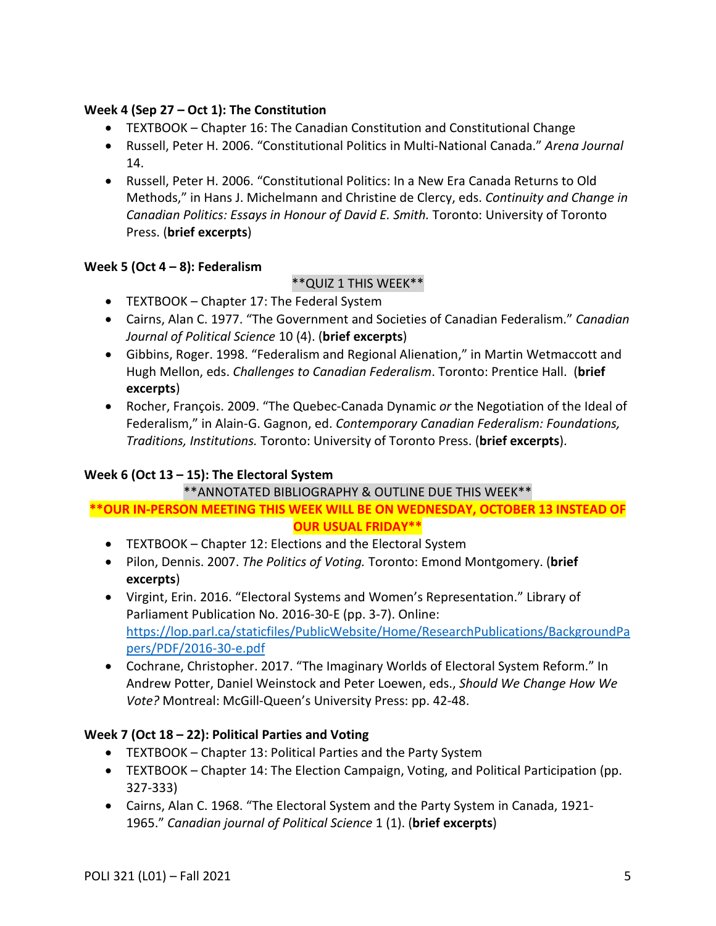### **Week 4 (Sep 27 – Oct 1): The Constitution**

- TEXTBOOK Chapter 16: The Canadian Constitution and Constitutional Change
- Russell, Peter H. 2006. "Constitutional Politics in Multi-National Canada." *Arena Journal* 14.
- Russell, Peter H. 2006. "Constitutional Politics: In a New Era Canada Returns to Old Methods," in Hans J. Michelmann and Christine de Clercy, eds. *Continuity and Change in Canadian Politics: Essays in Honour of David E. Smith.* Toronto: University of Toronto Press. (**brief excerpts**)

## **Week 5 (Oct 4 – 8): Federalism**

# \*\*QUIZ 1 THIS WEEK\*\*

- TEXTBOOK Chapter 17: The Federal System
- Cairns, Alan C. 1977. "The Government and Societies of Canadian Federalism." *Canadian Journal of Political Science* 10 (4). (**brief excerpts**)
- Gibbins, Roger. 1998. "Federalism and Regional Alienation," in Martin Wetmaccott and Hugh Mellon, eds. *Challenges to Canadian Federalism*. Toronto: Prentice Hall. (**brief excerpts**)
- Rocher, François. 2009. "The Quebec-Canada Dynamic *or* the Negotiation of the Ideal of Federalism," in Alain-G. Gagnon, ed. *Contemporary Canadian Federalism: Foundations, Traditions, Institutions.* Toronto: University of Toronto Press. (**brief excerpts**).

# **Week 6 (Oct 13 – 15): The Electoral System**

## \*\*ANNOTATED BIBLIOGRAPHY & OUTLINE DUE THIS WEEK\*\*

## **\*\*OUR IN-PERSON MEETING THIS WEEK WILL BE ON WEDNESDAY, OCTOBER 13 INSTEAD OF OUR USUAL FRIDAY\*\***

- TEXTBOOK Chapter 12: Elections and the Electoral System
- Pilon, Dennis. 2007. *The Politics of Voting.* Toronto: Emond Montgomery. (**brief excerpts**)
- Virgint, Erin. 2016. "Electoral Systems and Women's Representation." Library of Parliament Publication No. 2016-30-E (pp. 3-7). Online: [https://lop.parl.ca/staticfiles/PublicWebsite/Home/ResearchPublications/BackgroundPa](https://lop.parl.ca/staticfiles/PublicWebsite/Home/ResearchPublications/BackgroundPapers/PDF/2016-30-e.pdf) [pers/PDF/2016-30-e.pdf](https://lop.parl.ca/staticfiles/PublicWebsite/Home/ResearchPublications/BackgroundPapers/PDF/2016-30-e.pdf)
- Cochrane, Christopher. 2017. "The Imaginary Worlds of Electoral System Reform." In Andrew Potter, Daniel Weinstock and Peter Loewen, eds., *Should We Change How We Vote?* Montreal: McGill-Queen's University Press: pp. 42-48.

# **Week 7 (Oct 18 – 22): Political Parties and Voting**

- TEXTBOOK Chapter 13: Political Parties and the Party System
- TEXTBOOK Chapter 14: The Election Campaign, Voting, and Political Participation (pp. 327-333)
- Cairns, Alan C. 1968. "The Electoral System and the Party System in Canada, 1921- 1965." *Canadian journal of Political Science* 1 (1). (**brief excerpts**)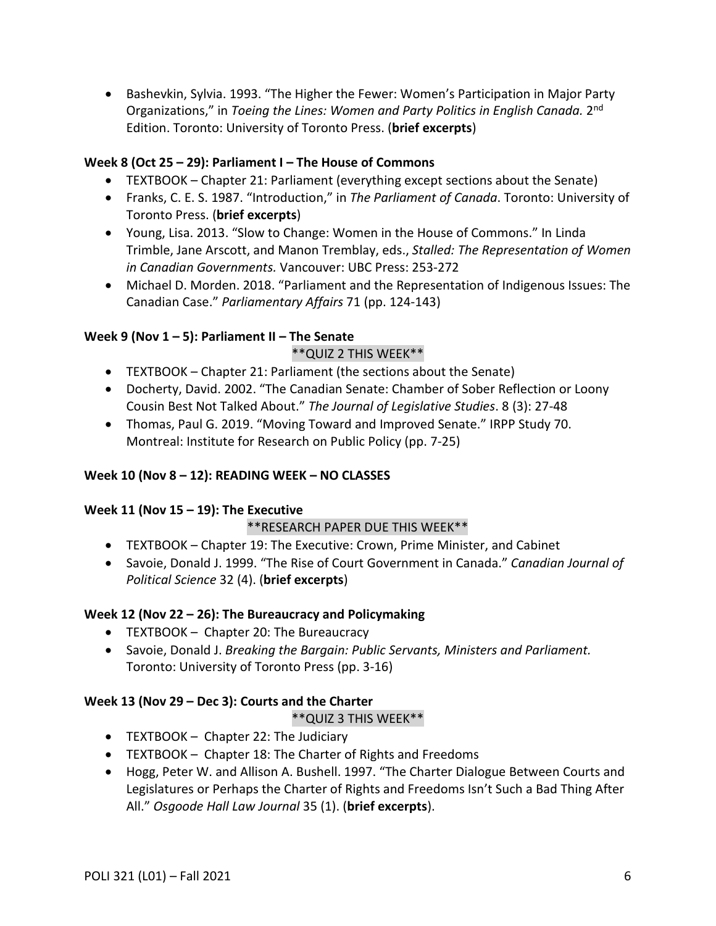• Bashevkin, Sylvia. 1993. "The Higher the Fewer: Women's Participation in Major Party Organizations," in *Toeing the Lines: Women and Party Politics in English Canada.* 2nd Edition. Toronto: University of Toronto Press. (**brief excerpts**)

### **Week 8 (Oct 25 – 29): Parliament I – The House of Commons**

- TEXTBOOK Chapter 21: Parliament (everything except sections about the Senate)
- Franks, C. E. S. 1987. "Introduction," in *The Parliament of Canada*. Toronto: University of Toronto Press. (**brief excerpts**)
- Young, Lisa. 2013. "Slow to Change: Women in the House of Commons." In Linda Trimble, Jane Arscott, and Manon Tremblay, eds., *Stalled: The Representation of Women in Canadian Governments.* Vancouver: UBC Press: 253-272
- Michael D. Morden. 2018. "Parliament and the Representation of Indigenous Issues: The Canadian Case." *Parliamentary Affairs* 71 (pp. 124-143)

## **Week 9 (Nov 1 – 5): Parliament II – The Senate**

## \*\*QUIZ 2 THIS WEEK\*\*

- TEXTBOOK Chapter 21: Parliament (the sections about the Senate)
- Docherty, David. 2002. "The Canadian Senate: Chamber of Sober Reflection or Loony Cousin Best Not Talked About." *The Journal of Legislative Studies*. 8 (3): 27-48
- Thomas, Paul G. 2019. "Moving Toward and Improved Senate." IRPP Study 70. Montreal: Institute for Research on Public Policy (pp. 7-25)

## **Week 10 (Nov 8 – 12): READING WEEK – NO CLASSES**

## **Week 11 (Nov 15 – 19): The Executive**

## \*\*RESEARCH PAPER DUE THIS WEEK\*\*

- TEXTBOOK Chapter 19: The Executive: Crown, Prime Minister, and Cabinet
- Savoie, Donald J. 1999. "The Rise of Court Government in Canada." *Canadian Journal of Political Science* 32 (4). (**brief excerpts**)

## **Week 12 (Nov 22 – 26): The Bureaucracy and Policymaking**

- TEXTBOOK Chapter 20: The Bureaucracy
- Savoie, Donald J. *Breaking the Bargain: Public Servants, Ministers and Parliament.* Toronto: University of Toronto Press (pp. 3-16)

## **Week 13 (Nov 29 – Dec 3): Courts and the Charter**

#### \*\*QUIZ 3 THIS WEEK\*\*

- TEXTBOOK Chapter 22: The Judiciary
- TEXTBOOK Chapter 18: The Charter of Rights and Freedoms
- Hogg, Peter W. and Allison A. Bushell. 1997. "The Charter Dialogue Between Courts and Legislatures or Perhaps the Charter of Rights and Freedoms Isn't Such a Bad Thing After All." *Osgoode Hall Law Journal* 35 (1). (**brief excerpts**).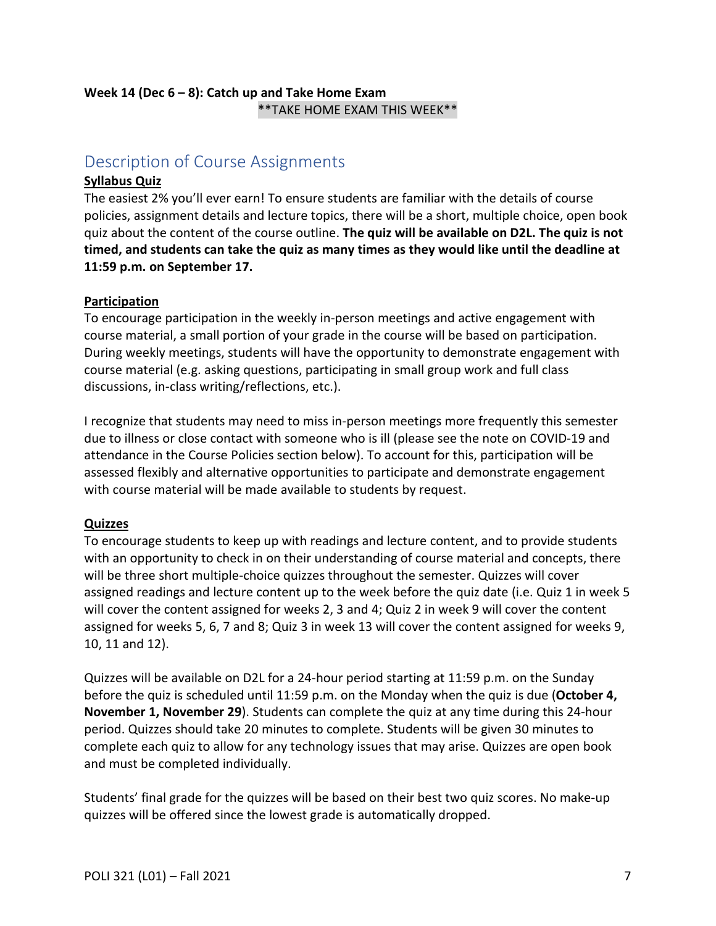## **Week 14 (Dec 6 – 8): Catch up and Take Home Exam** \*\*TAKE HOME EXAM THIS WEEK\*\*

# <span id="page-6-0"></span>Description of Course Assignments

### **Syllabus Quiz**

The easiest 2% you'll ever earn! To ensure students are familiar with the details of course policies, assignment details and lecture topics, there will be a short, multiple choice, open book quiz about the content of the course outline. **The quiz will be available on D2L. The quiz is not timed, and students can take the quiz as many times as they would like until the deadline at 11:59 p.m. on September 17.**

#### **Participation**

To encourage participation in the weekly in-person meetings and active engagement with course material, a small portion of your grade in the course will be based on participation. During weekly meetings, students will have the opportunity to demonstrate engagement with course material (e.g. asking questions, participating in small group work and full class discussions, in-class writing/reflections, etc.).

I recognize that students may need to miss in-person meetings more frequently this semester due to illness or close contact with someone who is ill (please see the note on COVID-19 and attendance in the Course Policies section below). To account for this, participation will be assessed flexibly and alternative opportunities to participate and demonstrate engagement with course material will be made available to students by request.

## **Quizzes**

To encourage students to keep up with readings and lecture content, and to provide students with an opportunity to check in on their understanding of course material and concepts, there will be three short multiple-choice quizzes throughout the semester. Quizzes will cover assigned readings and lecture content up to the week before the quiz date (i.e. Quiz 1 in week 5 will cover the content assigned for weeks 2, 3 and 4; Quiz 2 in week 9 will cover the content assigned for weeks 5, 6, 7 and 8; Quiz 3 in week 13 will cover the content assigned for weeks 9, 10, 11 and 12).

Quizzes will be available on D2L for a 24-hour period starting at 11:59 p.m. on the Sunday before the quiz is scheduled until 11:59 p.m. on the Monday when the quiz is due (**October 4, November 1, November 29**). Students can complete the quiz at any time during this 24-hour period. Quizzes should take 20 minutes to complete. Students will be given 30 minutes to complete each quiz to allow for any technology issues that may arise. Quizzes are open book and must be completed individually.

Students' final grade for the quizzes will be based on their best two quiz scores. No make-up quizzes will be offered since the lowest grade is automatically dropped.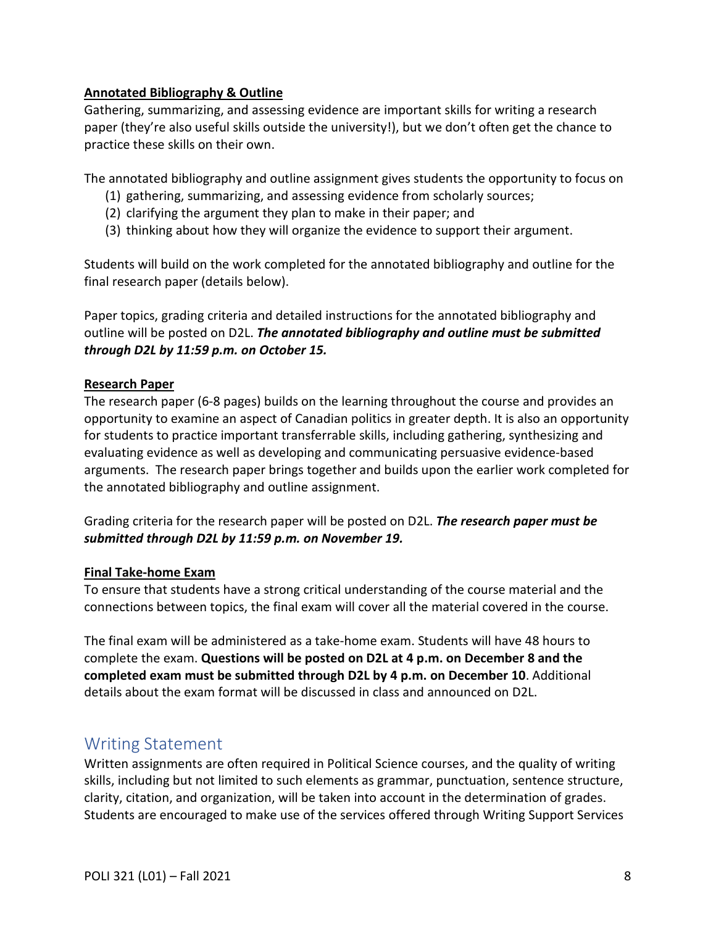## **Annotated Bibliography & Outline**

Gathering, summarizing, and assessing evidence are important skills for writing a research paper (they're also useful skills outside the university!), but we don't often get the chance to practice these skills on their own.

The annotated bibliography and outline assignment gives students the opportunity to focus on

- (1) gathering, summarizing, and assessing evidence from scholarly sources;
- (2) clarifying the argument they plan to make in their paper; and
- (3) thinking about how they will organize the evidence to support their argument.

Students will build on the work completed for the annotated bibliography and outline for the final research paper (details below).

Paper topics, grading criteria and detailed instructions for the annotated bibliography and outline will be posted on D2L. *The annotated bibliography and outline must be submitted through D2L by 11:59 p.m. on October 15.*

#### **Research Paper**

The research paper (6-8 pages) builds on the learning throughout the course and provides an opportunity to examine an aspect of Canadian politics in greater depth. It is also an opportunity for students to practice important transferrable skills, including gathering, synthesizing and evaluating evidence as well as developing and communicating persuasive evidence-based arguments. The research paper brings together and builds upon the earlier work completed for the annotated bibliography and outline assignment.

Grading criteria for the research paper will be posted on D2L. *The research paper must be submitted through D2L by 11:59 p.m. on November 19.* 

#### **Final Take-home Exam**

To ensure that students have a strong critical understanding of the course material and the connections between topics, the final exam will cover all the material covered in the course.

The final exam will be administered as a take-home exam. Students will have 48 hours to complete the exam. **Questions will be posted on D2L at 4 p.m. on December 8 and the completed exam must be submitted through D2L by 4 p.m. on December 10**. Additional details about the exam format will be discussed in class and announced on D2L.

# <span id="page-7-0"></span>Writing Statement

Written assignments are often required in Political Science courses, and the quality of writing skills, including but not limited to such elements as grammar, punctuation, sentence structure, clarity, citation, and organization, will be taken into account in the determination of grades. Students are encouraged to make use of the services offered through Writing Support Services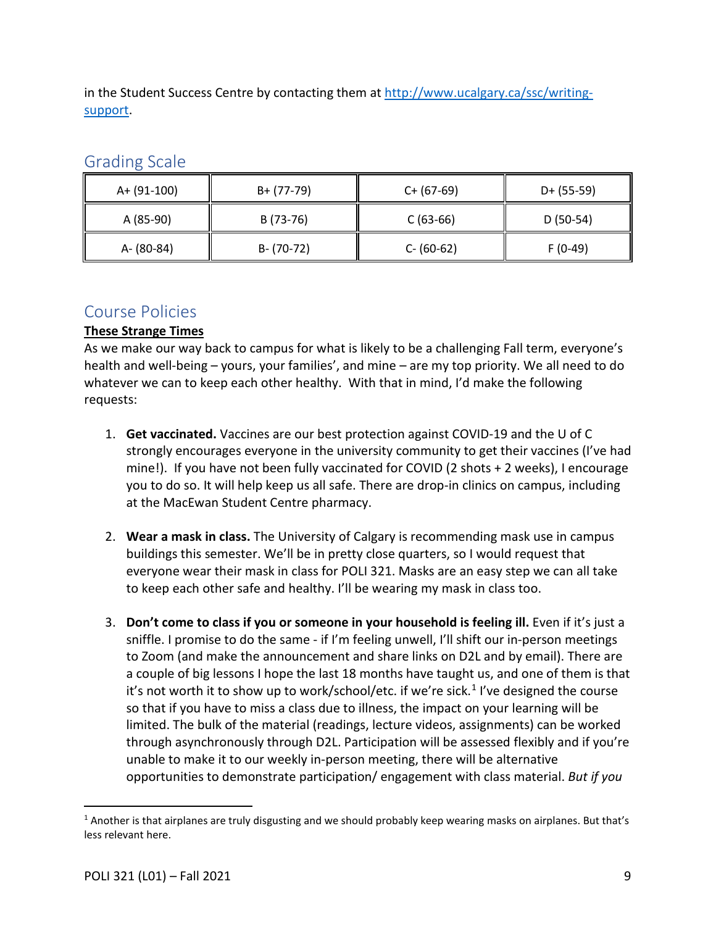in the Student Success Centre by contacting them at [http://www.ucalgary.ca/ssc/writing](http://www.ucalgary.ca/ssc/writing-support)[support.](http://www.ucalgary.ca/ssc/writing-support)

| A+ (91-100) | B+ (77-79)    | $C+ (67-69)$  | $D+ (55-59)$ |
|-------------|---------------|---------------|--------------|
| A (85-90)   | B (73-76)     | $C(63-66)$    | $D(50-54)$   |
| A- (80-84)  | $B - (70-72)$ | $C - (60-62)$ | $F(0-49)$    |

# <span id="page-8-0"></span>Grading Scale

# <span id="page-8-1"></span>Course Policies

# **These Strange Times**

As we make our way back to campus for what is likely to be a challenging Fall term, everyone's health and well-being – yours, your families', and mine – are my top priority. We all need to do whatever we can to keep each other healthy. With that in mind, I'd make the following requests:

- 1. **Get vaccinated.** Vaccines are our best protection against COVID-19 and the U of C strongly encourages everyone in the university community to get their vaccines (I've had mine!). If you have not been fully vaccinated for COVID (2 shots + 2 weeks), I encourage you to do so. It will help keep us all safe. There are drop-in clinics on campus, including at the MacEwan Student Centre pharmacy.
- 2. **Wear a mask in class.** The University of Calgary is recommending mask use in campus buildings this semester. We'll be in pretty close quarters, so I would request that everyone wear their mask in class for POLI 321. Masks are an easy step we can all take to keep each other safe and healthy. I'll be wearing my mask in class too.
- 3. **Don't come to class if you or someone in your household is feeling ill.** Even if it's just a sniffle. I promise to do the same - if I'm feeling unwell, I'll shift our in-person meetings to Zoom (and make the announcement and share links on D2L and by email). There are a couple of big lessons I hope the last 18 months have taught us, and one of them is that it's not worth it to show up to work/school/etc. if we're sick.<sup>[1](#page-8-2)</sup> I've designed the course so that if you have to miss a class due to illness, the impact on your learning will be limited. The bulk of the material (readings, lecture videos, assignments) can be worked through asynchronously through D2L. Participation will be assessed flexibly and if you're unable to make it to our weekly in-person meeting, there will be alternative opportunities to demonstrate participation/ engagement with class material. *But if you*

<span id="page-8-2"></span> $1$  Another is that airplanes are truly disgusting and we should probably keep wearing masks on airplanes. But that's less relevant here.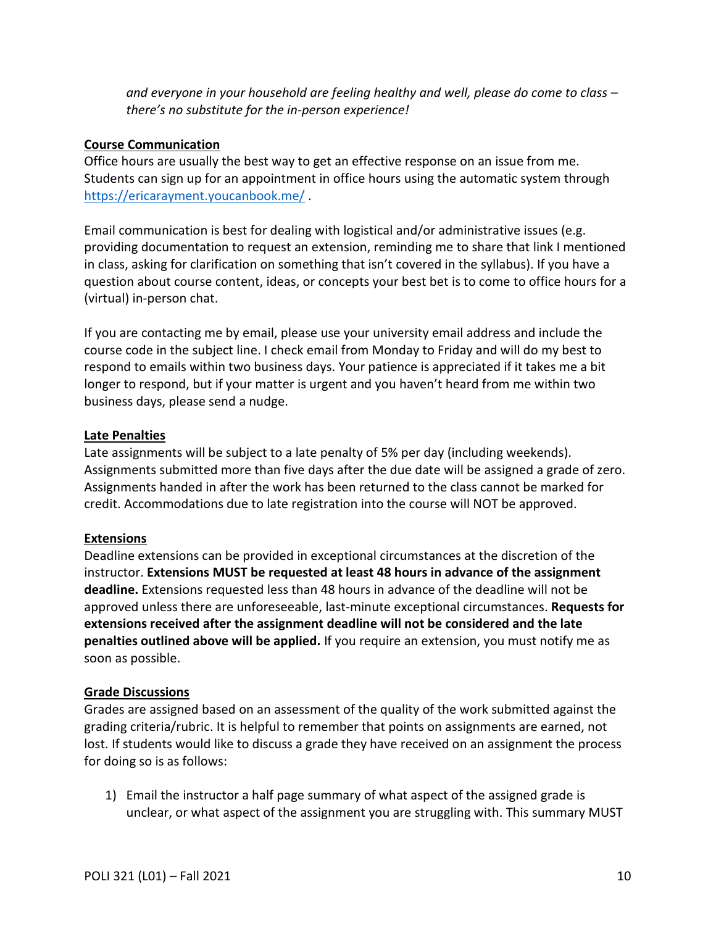*and everyone in your household are feeling healthy and well, please do come to class – there's no substitute for the in-person experience!*

### **Course Communication**

Office hours are usually the best way to get an effective response on an issue from me. Students can sign up for an appointment in office hours using the automatic system through <https://ericarayment.youcanbook.me/> .

Email communication is best for dealing with logistical and/or administrative issues (e.g. providing documentation to request an extension, reminding me to share that link I mentioned in class, asking for clarification on something that isn't covered in the syllabus). If you have a question about course content, ideas, or concepts your best bet is to come to office hours for a (virtual) in-person chat.

If you are contacting me by email, please use your university email address and include the course code in the subject line. I check email from Monday to Friday and will do my best to respond to emails within two business days. Your patience is appreciated if it takes me a bit longer to respond, but if your matter is urgent and you haven't heard from me within two business days, please send a nudge.

#### **Late Penalties**

Late assignments will be subject to a late penalty of 5% per day (including weekends). Assignments submitted more than five days after the due date will be assigned a grade of zero. Assignments handed in after the work has been returned to the class cannot be marked for credit. Accommodations due to late registration into the course will NOT be approved.

#### **Extensions**

Deadline extensions can be provided in exceptional circumstances at the discretion of the instructor. **Extensions MUST be requested at least 48 hours in advance of the assignment deadline.** Extensions requested less than 48 hours in advance of the deadline will not be approved unless there are unforeseeable, last-minute exceptional circumstances. **Requests for extensions received after the assignment deadline will not be considered and the late penalties outlined above will be applied.** If you require an extension, you must notify me as soon as possible.

#### **Grade Discussions**

Grades are assigned based on an assessment of the quality of the work submitted against the grading criteria/rubric. It is helpful to remember that points on assignments are earned, not lost. If students would like to discuss a grade they have received on an assignment the process for doing so is as follows:

1) Email the instructor a half page summary of what aspect of the assigned grade is unclear, or what aspect of the assignment you are struggling with. This summary MUST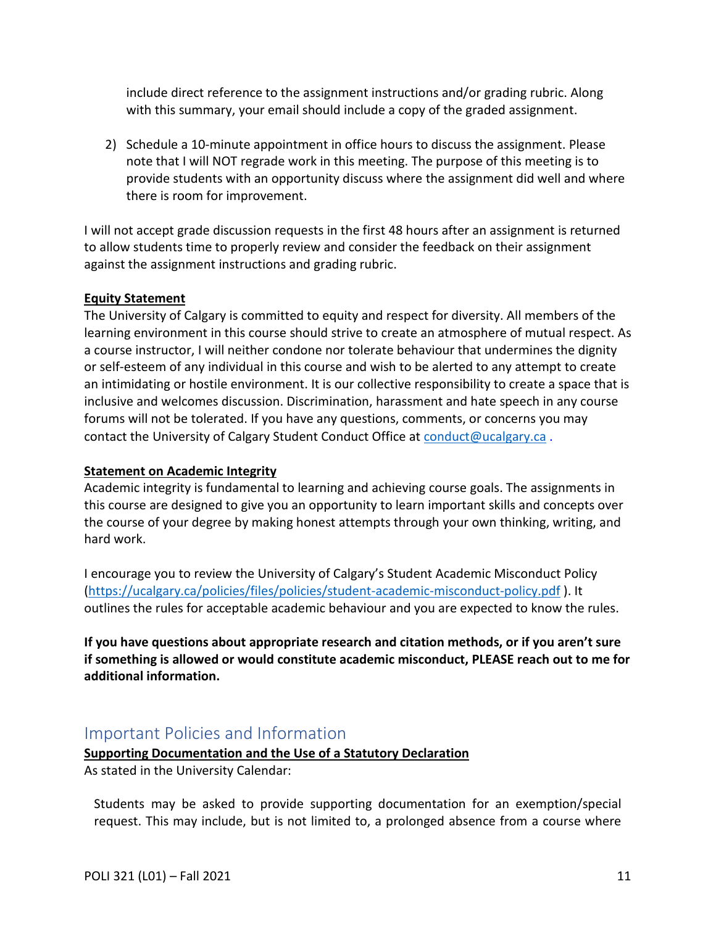include direct reference to the assignment instructions and/or grading rubric. Along with this summary, your email should include a copy of the graded assignment.

2) Schedule a 10-minute appointment in office hours to discuss the assignment. Please note that I will NOT regrade work in this meeting. The purpose of this meeting is to provide students with an opportunity discuss where the assignment did well and where there is room for improvement.

I will not accept grade discussion requests in the first 48 hours after an assignment is returned to allow students time to properly review and consider the feedback on their assignment against the assignment instructions and grading rubric.

#### **Equity Statement**

The University of Calgary is committed to equity and respect for diversity. All members of the learning environment in this course should strive to create an atmosphere of mutual respect. As a course instructor, I will neither condone nor tolerate behaviour that undermines the dignity or self-esteem of any individual in this course and wish to be alerted to any attempt to create an intimidating or hostile environment. It is our collective responsibility to create a space that is inclusive and welcomes discussion. Discrimination, harassment and hate speech in any course forums will not be tolerated. If you have any questions, comments, or concerns you may contact the University of Calgary Student Conduct Office at [conduct@ucalgary.ca](mailto:conduct@ucalgary.ca).

#### **Statement on Academic Integrity**

Academic integrity is fundamental to learning and achieving course goals. The assignments in this course are designed to give you an opportunity to learn important skills and concepts over the course of your degree by making honest attempts through your own thinking, writing, and hard work.

I encourage you to review the University of Calgary's Student Academic Misconduct Policy [\(https://ucalgary.ca/policies/files/policies/student-academic-misconduct-policy.pdf](https://ucalgary.ca/policies/files/policies/student-academic-misconduct-policy.pdf) ). It outlines the rules for acceptable academic behaviour and you are expected to know the rules.

**If you have questions about appropriate research and citation methods, or if you aren't sure if something is allowed or would constitute academic misconduct, PLEASE reach out to me for additional information.** 

# <span id="page-10-0"></span>Important Policies and Information

# **Supporting Documentation and the Use of a Statutory Declaration**

As stated in the University Calendar:

Students may be asked to provide supporting documentation for an exemption/special request. This may include, but is not limited to, a prolonged absence from a course where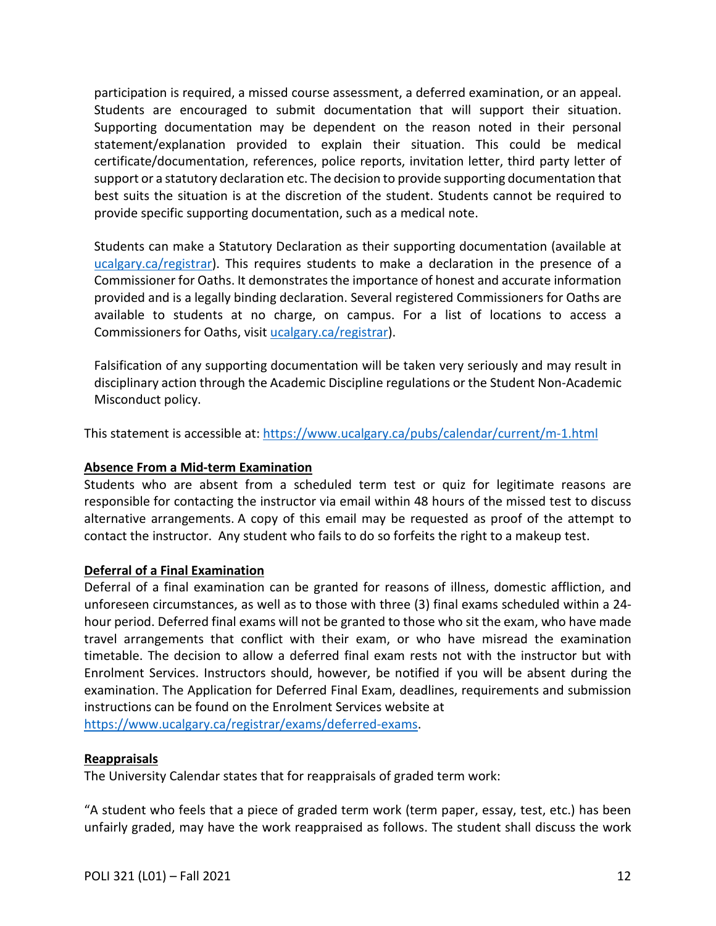participation is required, a missed course assessment, a deferred examination, or an appeal. Students are encouraged to submit documentation that will support their situation. Supporting documentation may be dependent on the reason noted in their personal statement/explanation provided to explain their situation. This could be medical certificate/documentation, references, police reports, invitation letter, third party letter of support or a statutory declaration etc. The decision to provide supporting documentation that best suits the situation is at the discretion of the student. Students cannot be required to provide specific supporting documentation, such as a medical note.

Students can make a Statutory Declaration as their supporting documentation (available at ucalgary.ca/registrar). This requires students to make a declaration in the presence of a Commissioner for Oaths. It demonstrates the importance of honest and accurate information provided and is a legally binding declaration. Several registered Commissioners for Oaths are available to students at no charge, on campus. For a list of locations to access a Commissioners for Oaths, visit [ucalgary.ca/registrar\)](http://www.ucalgary.ca/registrar).

Falsification of any supporting documentation will be taken very seriously and may result in disciplinary action through the Academic Discipline regulations or the Student Non-Academic Misconduct policy.

This statement is accessible at:<https://www.ucalgary.ca/pubs/calendar/current/m-1.html>

### **Absence From a Mid-term Examination**

Students who are absent from a scheduled term test or quiz for legitimate reasons are responsible for contacting the instructor via email within 48 hours of the missed test to discuss alternative arrangements. A copy of this email may be requested as proof of the attempt to contact the instructor. Any student who fails to do so forfeits the right to a makeup test.

#### **Deferral of a Final Examination**

Deferral of a final examination can be granted for reasons of illness, domestic affliction, and unforeseen circumstances, as well as to those with three (3) final exams scheduled within a 24 hour period. Deferred final exams will not be granted to those who sit the exam, who have made travel arrangements that conflict with their exam, or who have misread the examination timetable. The decision to allow a deferred final exam rests not with the instructor but with Enrolment Services. Instructors should, however, be notified if you will be absent during the examination. The Application for Deferred Final Exam, deadlines, requirements and submission instructions can be found on the Enrolment Services website at

[https://www.ucalgary.ca/registrar/exams/deferred-exams.](https://www.ucalgary.ca/registrar/exams/deferred-exams)

#### **Reappraisals**

The University Calendar states that for reappraisals of graded term work:

"A student who feels that a piece of graded term work (term paper, essay, test, etc.) has been unfairly graded, may have the work reappraised as follows. The student shall discuss the work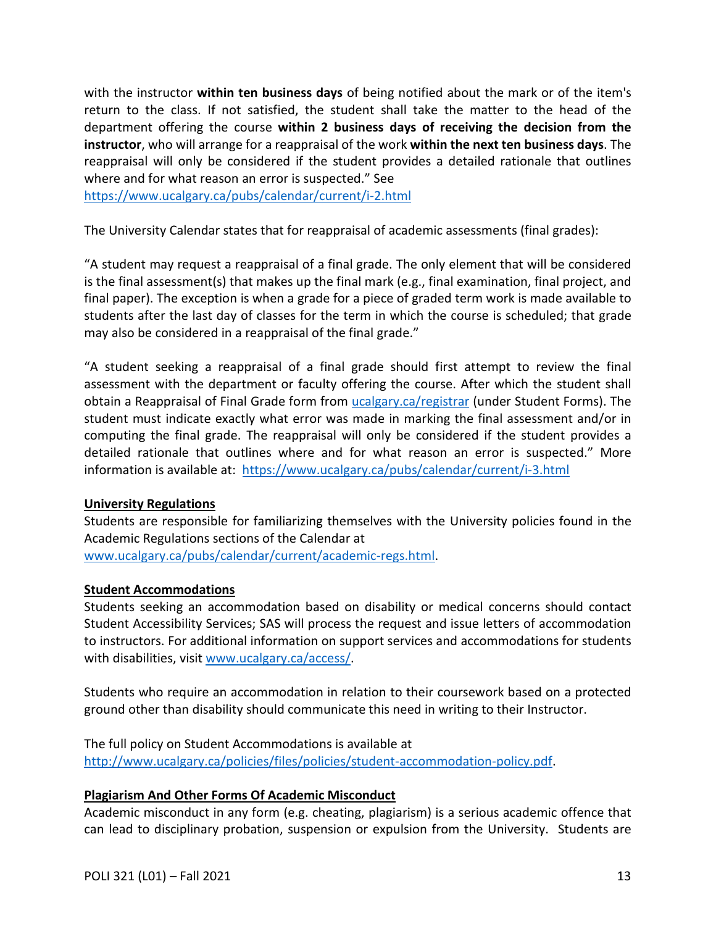with the instructor **within ten business days** of being notified about the mark or of the item's return to the class. If not satisfied, the student shall take the matter to the head of the department offering the course **within 2 business days of receiving the decision from the instructor**, who will arrange for a reappraisal of the work **within the next ten business days**. The reappraisal will only be considered if the student provides a detailed rationale that outlines where and for what reason an error is suspected." See

<https://www.ucalgary.ca/pubs/calendar/current/i-2.html>

The University Calendar states that for reappraisal of academic assessments (final grades):

"A student may request a reappraisal of a final grade. The only element that will be considered is the final assessment(s) that makes up the final mark (e.g., final examination, final project, and final paper). The exception is when a grade for a piece of graded term work is made available to students after the last day of classes for the term in which the course is scheduled; that grade may also be considered in a reappraisal of the final grade."

"A student seeking a reappraisal of a final grade should first attempt to review the final assessment with the department or faculty offering the course. After which the student shall obtain a Reappraisal of Final Grade form from [ucalgary.ca/registrar](https://www.ucalgary.ca/registrar/home) (under Student Forms). The student must indicate exactly what error was made in marking the final assessment and/or in computing the final grade. The reappraisal will only be considered if the student provides a detailed rationale that outlines where and for what reason an error is suspected." More information is available at: <https://www.ucalgary.ca/pubs/calendar/current/i-3.html>

#### **University Regulations**

Students are responsible for familiarizing themselves with the University policies found in the Academic Regulations sections of the Calendar at

[www.ucalgary.ca/pubs/calendar/current/academic-regs.html.](http://www.ucalgary.ca/pubs/calendar/current/academic-regs.html)

#### **Student Accommodations**

Students seeking an accommodation based on disability or medical concerns should contact Student Accessibility Services; SAS will process the request and issue letters of accommodation to instructors. For additional information on support services and accommodations for students with disabilities, visit [www.ucalgary.ca/access/.](http://www.ucalgary.ca/access/)

Students who require an accommodation in relation to their coursework based on a protected ground other than disability should communicate this need in writing to their Instructor.

The full policy on Student Accommodations is available at [http://www.ucalgary.ca/policies/files/policies/student-accommodation-policy.pdf.](http://www.ucalgary.ca/policies/files/policies/student-accommodation-policy.pdf)

#### **Plagiarism And Other Forms Of Academic Misconduct**

Academic misconduct in any form (e.g. cheating, plagiarism) is a serious academic offence that can lead to disciplinary probation, suspension or expulsion from the University. Students are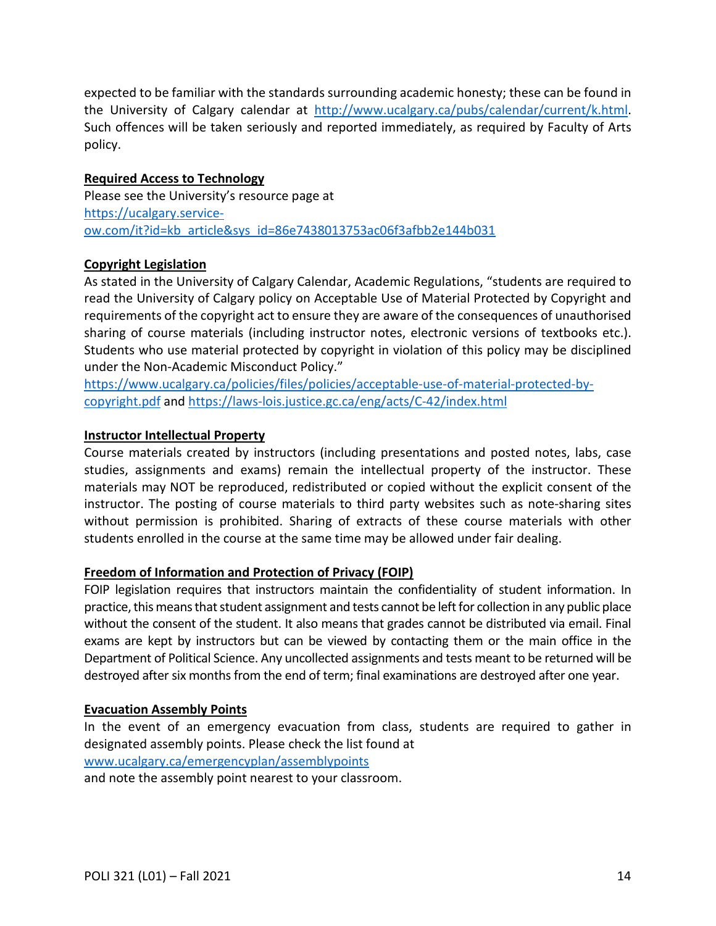expected to be familiar with the standards surrounding academic honesty; these can be found in the University of Calgary calendar at [http://www.ucalgary.ca/pubs/calendar/current/k.html.](http://www.ucalgary.ca/pubs/calendar/current/k.html) Such offences will be taken seriously and reported immediately, as required by Faculty of Arts policy.

#### **Required Access to Technology**

Please see the University's resource page at [https://ucalgary.service](https://ucalgary.service-ow.com/it?id=kb_article&sys_id=86e7438013753ac06f3afbb2e144b031)[ow.com/it?id=kb\\_article&sys\\_id=86e7438013753ac06f3afbb2e144b031](https://ucalgary.service-ow.com/it?id=kb_article&sys_id=86e7438013753ac06f3afbb2e144b031)

#### **Copyright Legislation**

As stated in the University of Calgary Calendar, Academic Regulations, "students are required to read the University of Calgary policy on Acceptable Use of Material Protected by Copyright and requirements of the copyright act to ensure they are aware of the consequences of unauthorised sharing of course materials (including instructor notes, electronic versions of textbooks etc.). Students who use material protected by copyright in violation of this policy may be disciplined under the Non-Academic Misconduct Policy."

[https://www.ucalgary.ca/policies/files/policies/acceptable-use-of-material-protected-by](https://www.ucalgary.ca/policies/files/policies/acceptable-use-of-material-protected-by-copyright.pdf)[copyright.pdf](https://www.ucalgary.ca/policies/files/policies/acceptable-use-of-material-protected-by-copyright.pdf) and<https://laws-lois.justice.gc.ca/eng/acts/C-42/index.html>

#### **Instructor Intellectual Property**

Course materials created by instructors (including presentations and posted notes, labs, case studies, assignments and exams) remain the intellectual property of the instructor. These materials may NOT be reproduced, redistributed or copied without the explicit consent of the instructor. The posting of course materials to third party websites such as note-sharing sites without permission is prohibited. Sharing of extracts of these course materials with other students enrolled in the course at the same time may be allowed under fair dealing.

## **Freedom of Information and Protection of Privacy (FOIP)**

FOIP legislation requires that instructors maintain the confidentiality of student information. In practice, this means that student assignment and tests cannot be left for collection in any public place without the consent of the student. It also means that grades cannot be distributed via email. Final exams are kept by instructors but can be viewed by contacting them or the main office in the Department of Political Science. Any uncollected assignments and tests meant to be returned will be destroyed after six months from the end of term; final examinations are destroyed after one year.

#### **Evacuation Assembly Points**

In the event of an emergency evacuation from class, students are required to gather in designated assembly points. Please check the list found at [www.ucalgary.ca/emergencyplan/assemblypoints](http://www.ucalgary.ca/emergencyplan/assemblypoints)

and note the assembly point nearest to your classroom.